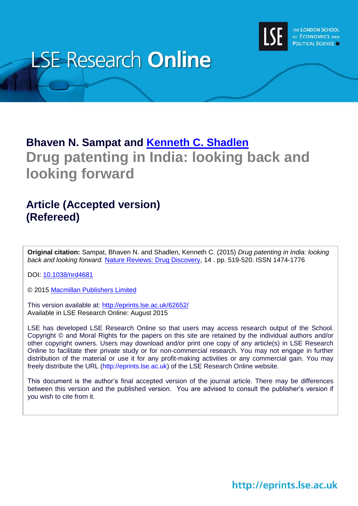

# **LSE Research Online**

### **Bhaven N. Sampat and [Kenneth C. Shadlen](http://www.lse.ac.uk/researchAndExpertise/Experts/profile.aspx?KeyValue=k.shadlen@lse.ac.uk) Drug patenting in India: looking back and looking forward**

### **Article (Accepted version) (Refereed)**

**Original citation:** Sampat, Bhaven N. and Shadlen, Kenneth C. (2015) *Drug patenting in India: looking back and looking forward.* [Nature Reviews: Drug Discovery,](http://www.nature.com/nrd/index.html) 14 . pp. 519-520. ISSN 1474-1776

DOI: [10.1038/nrd4681](http://dx.doi.org/%2010.1038/nrd4681)

© 2015 [Macmillan Publishers Limited](http://us.macmillan.com/)

This version available at:<http://eprints.lse.ac.uk/62652/> Available in LSE Research Online: August 2015

LSE has developed LSE Research Online so that users may access research output of the School. Copyright © and Moral Rights for the papers on this site are retained by the individual authors and/or other copyright owners. Users may download and/or print one copy of any article(s) in LSE Research Online to facilitate their private study or for non-commercial research. You may not engage in further distribution of the material or use it for any profit-making activities or any commercial gain. You may freely distribute the URL (http://eprints.lse.ac.uk) of the LSE Research Online website.

This document is the author's final accepted version of the journal article. There may be differences between this version and the published version. You are advised to consult the publisher's version if you wish to cite from it.

http://eprints.lse.ac.uk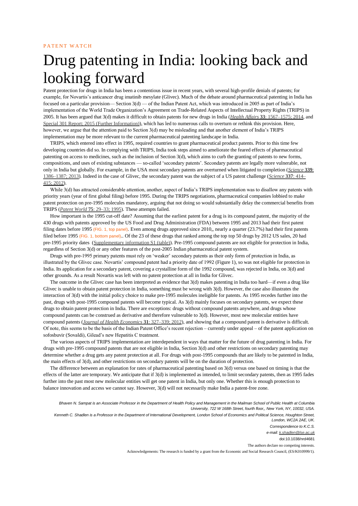## Drug patenting in India: looking back and looking forward

Patent protection for drugs in India has been a contentious issue in recent years, with several high-profile denials of patents; for example, for Novartis's anticancer drug imatinib mesylate (Glivec). Much of the debate around pharmaceutical patenting in India has focused on a particular provision— Section  $3(d)$  — of the Indian Patent Act, which was introduced in 2005 as part of India's implementation of the World Trade Organization's Agreement on Trade-Related Aspects of Intellectual Property Rights (TRIPS) in 2005. It has been argued that 3(d) makes it difficult to obtain patents for new drugs in India (*Health Affairs* **33**: 1567–1575; 2014, and Special 301 Report; 2015 (Further Information)), which has led to numerous calls to overturn or rethink this provision. Here, however, we argue that the attention paid to Section 3(d) may be misleading and that another element of India's TRIPS implementation may be more relevant to the current pharmaceutical patenting landscape in India.

TRIPS, which entered into effect in 1995, required countries to grant pharmaceutical product patents. Prior to this time few developing countries did so. In complying with TRIPS, India took steps aimed to ameliorate the feared effects of pharmaceutical patenting on access to medicines, such as the inclusion of Section 3(d), which aims to curb the granting of patents to new forms, compositions, and uses of existing substances — so-called 'secondary patents'. Secondary patents are legally more vulnerable, not only in India but globally. For example, in the USA most secondary patents are overturned when litigated to completion (*Science* **339**: 1386–1387; 2013). Indeed in the case of Glivec, the secondary patent was the subject of a US patent challenge (*Science* **337**: 414– 415; 2012).

While 3(d) has attracted considerable attention, another, aspect of India's TRIPS implementation was to disallow any patents with priority years (year of first global filing) before 1995. During the TRIPS negotiations, pharmaceutical companies lobbied to make patent protection on pre-1995 molecules mandatory, arguing that not doing so would substantially delay the commercial benefits from TRIPS (*Patent World* **75**: 29–33; 1995). These attempts failed.

How important is the 1995 cut-off date? Assuming that the earliest patent for a drug is its compound patent, the majority of the 430 drugs with patents approved by the US Food and Drug Administration (FDA) between 1995 and 2013 had their first patent filing dates before 1995 (FIG. 1, top panel). Even among drugs approved since 2010,, nearly a quarter (23.7%) had their first patents filed before 1995 (FIG. 1, bottom panel). Of the 23 of these drugs that ranked among the top top 50 drugs by 2012 US sales, 20 had pre-1995 priority dates (Supplementary information S1 (table)). Pre-1995 compound patents are not eligible for protection in India, regardless of Section 3(d) or any other features of the post-2005 Indian pharmaceutical patent system.

Drugs with pre-1995 primary patents must rely on 'weaker' secondary patents as their only form of protection in India, as illustrated by the Glivec case. Novartis' compound patent had a priority date of 1992 (Figure 1), so was not eligible for protection in India. Its application for a secondary patent, covering a crystalline form of the 1992 compound, was rejected in India, on 3(d) and other grounds. As a result Novartis was left with no patent protection at all in India for Glivec.

The outcome in the Glivec case has been interpreted as evidence that 3(d) makes patenting in India too hard—if even a drug like Glivec is unable to obtain patent protection in India, something must be wrong with 3(d). However, the case also illustrates the interaction of 3(d) with the initial policy choice to make pre-1995 molecules ineligible for patents. As 1995 recedes further into the past, drugs with post-1995 compound patents will become typical. As 3(d) mainly focuses on secondary patents, we expect these drugs to obtain patent protection in India. There are exceptions: drugs without compound patents anywhere, and drugs whose compound patents can be construed as derivative and therefore vulnerable to 3(d). However, most new molecular entities have compound patents (*Journal of Health Economics* **31**: 327–339; 2012), and showing that a compound patent is derivative is difficult. Of note, this seems to be the basis of the Indian Patent Office's recent rejection – currently under appeal – of the patent application on sofosbuvir (Sovaldi), Gilead's new Hepatitis C treatment.

The various aspects of TRIPS implementation are interdependent in ways that matter for the future of drug patenting in India. For drugs with pre-1995 compound patents that are not eligible in India, Section 3(d) and other restrictions on secondary patenting may determine whether a drug gets any patent protection at all. For drugs with post-1995 compounds that are likely to be patented in India, the main effects of 3(d), and other restrictions on secondary patents will be on the duration of protection.

The difference between an explanation for rates of pharmaceutical patenting based on 3(d) versus one based on timing is that the effects of the latter are temporary. We anticipate that if  $3(d)$  is implemented as intended, to limit secondary patents, then as 1995 fades further into the past most new molecular entities will get one patent in India, but only one. Whether this is enough protection to balance innovation and access we cannot say. However, 3(d) will not necessarily make India a patent-free zone.

*Bhaven N. Sampat is an Associate Professor in the Department of Health Policy and Management in the Mailman School of Public Health at Columbia University, 722 W 168th Street, fourth floor,, New York, NY, 10032, USA.* Kenneth C. Shadlen is a Professor in the Department of International Development, London School of Economics and Political Science, Houghton Street, *London, WC2A 2AE, UK. Correspondence to K.C.S. e-mail: k.shadlen@lse.ac.uk* doi:10.1038/nrd4681

The authors declare no competing interests.

Acknowledgements: The research is funded by a grant from the Economic and Social Research Council, (ES/K010999/1).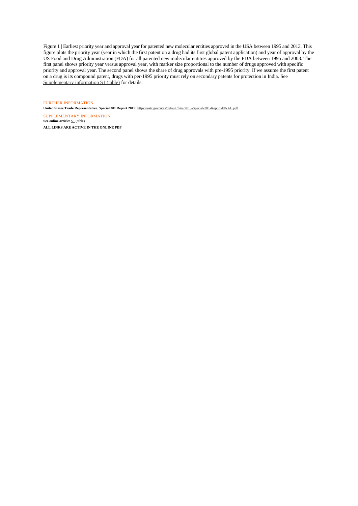Figure 1 | Earliest priority year and approval year for patented new molecular entities approved in the USA between 1995 and 2013. This figure plots the priority year (year in which the first patent on a drug had its first global patent application) and year of approval by the US Food and Drug Administration (FDA) for all patented new molecular entities approved by the FDA between 1995 and 2003. The first panel shows priority year versus approval year, with marker size proportional to the number of drugs approved with specific priority and approval year. The second panel shows the share of drug approvals with pre-1995 priority. If we assume the first patent priority and approval year. The second panel shows the share of drug approvals with pre-1 on a drug is its compound patent, drugs with per-1995 priority must rely on secondary patents for protection in India. See Supplementary information S1 (table) for details.

#### FURTHER INFORMATION

**United States Trade Representative. Special 301 Report 2015:** https://ustr.gov/sites/default/files/2015-Special-301-Report-FINAL.pdf

SUPPLEMENTARY INFORMATION **See online article:**  $\underline{\mathsf{S1}}$  (table) **ALL LINKS ARE ACTIVE IN THE ONLINE PDF**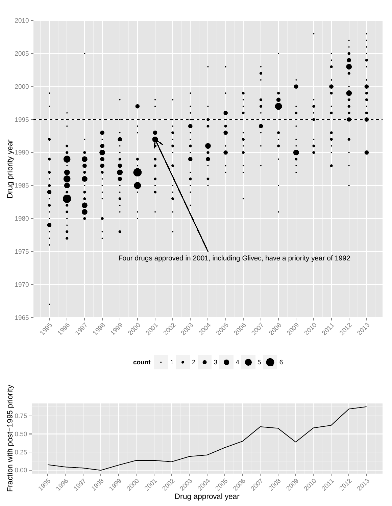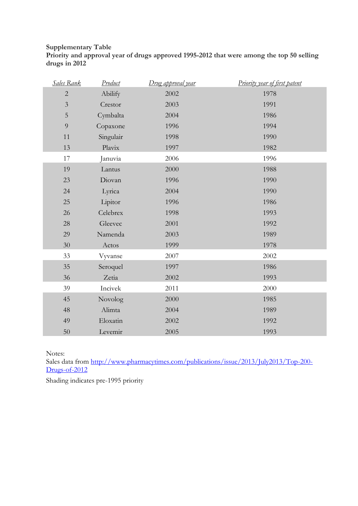#### **Supplementary Table Priority and approval year of drugs approved 1995-2012 that were among the top 50 selling drugs in 2012**

| Sales Rank     | Product   | <u>Drug approval year</u> | Priority year of first patent |
|----------------|-----------|---------------------------|-------------------------------|
| $\sqrt{2}$     | Abilify   | 2002                      | 1978                          |
| $\overline{3}$ | Crestor   | 2003                      | 1991                          |
| $\overline{5}$ | Cymbalta  | 2004                      | 1986                          |
| 9              | Copaxone  | 1996                      | 1994                          |
| 11             | Singulair | 1998                      | 1990                          |
| 13             | Plavix    | 1997                      | 1982                          |
| 17             | Januvia   | 2006                      | 1996                          |
| 19             | Lantus    | 2000                      | 1988                          |
| 23             | Diovan    | 1996                      | 1990                          |
| 24             | Lyrica    | 2004                      | 1990                          |
| 25             | Lipitor   | 1996                      | 1986                          |
| 26             | Celebrex  | 1998                      | 1993                          |
| 28             | Gleevec   | 2001                      | 1992                          |
| 29             | Namenda   | 2003                      | 1989                          |
| $30\,$         | Actos     | 1999                      | 1978                          |
| 33             | Vyvanse   | 2007                      | 2002                          |
| 35             | Seroquel  | 1997                      | 1986                          |
| 36             | Zetia     | 2002                      | 1993                          |
| 39             | Incivek   | 2011                      | 2000                          |
| 45             | Novolog   | 2000                      | 1985                          |
| 48             | Alimta    | 2004                      | 1989                          |
| 49             | Eloxatin  | 2002                      | 1992                          |
| $50\,$         | Levemir   | 2005                      | 1993                          |

Notes:

Sales data from [http://www.pharmacytimes.com/publications/issue/2013/July2013/Top-200-](http://www.pharmacytimes.com/publications/issue/2013/July2013/Top-200-Drugs-of-2012) [Drugs-of-2012](http://www.pharmacytimes.com/publications/issue/2013/July2013/Top-200-Drugs-of-2012)

Shading indicates pre-1995 priority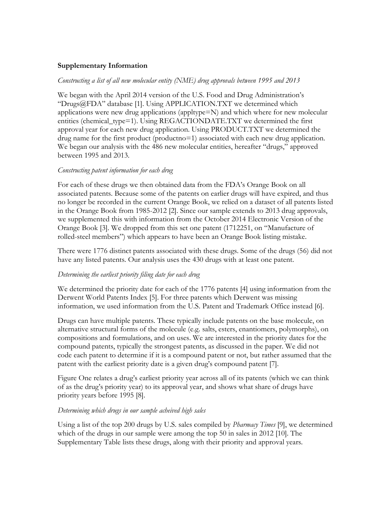#### **Supplementary Information**

#### *Constructing a list of all new molecular entity (NME) drug approvals between 1995 and 2013*

We began with the April 2014 version of the U.S. Food and Drug Administration's "Drugs@FDA" database [1]. Using APPLICATION.TXT we determined which applications were new drug applications (appltype=N) and which where for new molecular entities (chemical type=1). Using REGACTIONDATE.TXT we determined the first approval year for each new drug application. Using PRODUCT.TXT we determined the drug name for the first product (productno=1) associated with each new drug application. We began our analysis with the 486 new molecular entities, hereafter "drugs," approved between 1995 and 2013.

#### *Constructing patent information for each drug*

For each of these drugs we then obtained data from the FDA's Orange Book on all associated patents. Because some of the patents on earlier drugs will have expired, and thus no longer be recorded in the current Orange Book, we relied on a dataset of all patents listed in the Orange Book from 1985-2012 [2]. Since our sample extends to 2013 drug approvals, we supplemented this with information from the October 2014 Electronic Version of the Orange Book [3]. We dropped from this set one patent (1712251, on "Manufacture of rolled-steel members") which appears to have been an Orange Book listing mistake.

There were 1776 distinct patents associated with these drugs. Some of the drugs (56) did not have any listed patents. Our analysis uses the 430 drugs with at least one patent.

#### *Determining the earliest priority filing date for each drug*

We determined the priority date for each of the 1776 patents [4] using information from the Derwent World Patents Index [5]. For three patents which Derwent was missing information, we used information from the U.S. Patent and Trademark Office instead [6].

Drugs can have multiple patents. These typically include patents on the base molecule, on alternative structural forms of the molecule (e.g. salts, esters, enantiomers, polymorphs), on compositions and formulations, and on uses. We are interested in the priority dates for the compound patents, typically the strongest patents, as discussed in the paper. We did not code each patent to determine if it is a compound patent or not, but rather assumed that the patent with the earliest priority date is a given drug's compound patent [7].

Figure One relates a drug's earliest priority year across all of its patents (which we can think of as the drug's priority year) to its approval year, and shows what share of drugs have priority years before 1995 [8].

#### *Determining which drugs in our sample acheived high sales*

Using a list of the top 200 drugs by U.S. sales compiled by *Pharmacy Times* [9], we determined which of the drugs in our sample were among the top 50 in sales in 2012 [10]. The Supplementary Table lists these drugs, along with their priority and approval years.